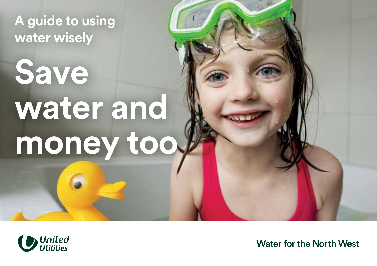**A guide to using water wisely** 

# **Save water and**  money too.



*I*<br>*I United* Water for the North West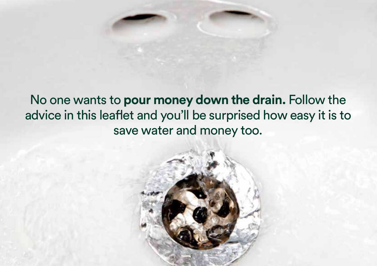## No one wants to **pour money down the drain.** Follow the advice in this leaflet and you'll be surprised how easy it is to save water and money too.

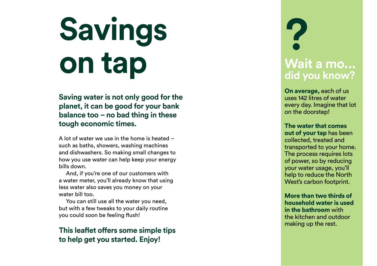# **Savings on tap**

**Saving water is not only good for the planet, it can be good for your bank balance too – no bad thing in these tough economic times.** 

A lot of water we use in the home is heated – such as baths, showers, washing machines and dishwashers. So making small changes to how you use water can help keep your energy bills down.

And, if you're one of our customers with a water meter, you'll already know that using less water also saves you money on your water bill too.

You can still use all the water you need, but with a few tweaks to your daily routine you could soon be feeling flush!

#### **This leaflet offers some simple tips to help get you started. Enjoy!**

# **? Wait a mo... did you know?**

On average, each of us uses 142 litres of water every day. Imagine that lot on the doorstep!

The water that comes out of your tap has been collected, treated and transported to your home. The process requires lots of power, so by reducing your water usage, you'll help to reduce the North West's carbon footprint.

More than two thirds of household water is used in the bathroom with the kitchen and outdoor making up the rest.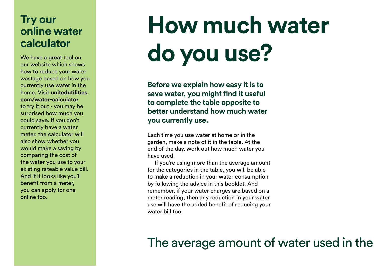### **Try our online water calculator**

We have a great tool on our website which shows how to reduce your water wastage based on how you currently use water in the home. Visit **[unitedutilities.](https://unitedutilities.com/water-calculator)  [com/water-calculator](https://unitedutilities.com/water-calculator)**  to try it out - you may be surprised how much you could save. If you don't currently have a water meter, the calculator will also show whether you would make a saving by comparing the cost of the water you use to your existing rateable value bill. And if it looks like you'll benefit from a meter, you can apply for one online too.

# **How much water do you use?**

**Before we explain how easy it is to save water, you might find it useful to complete the table opposite to better understand how much water you currently use.** 

Each time you use water at home or in the garden, make a note of it in the table. At the end of the day, work out how much water you have used.

If you're using more than the average amount for the categories in the table, you will be able to make a reduction in your water consumption by following the advice in this booklet. And remember, if your water charges are based on a meter reading, then any reduction in your water use will have the added benefit of reducing your water bill too.

### The average amount of water used in the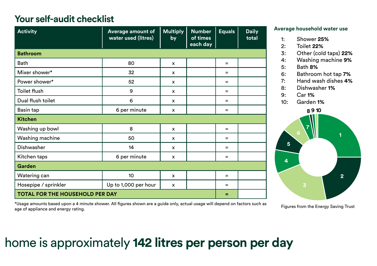#### **Your self-audit checklist**

| <b>Activity</b>                        | Average amount of<br>water used (litres) | <b>Multiply</b><br>by | <b>Number</b><br>of times<br>each day | <b>Equals</b> | <b>Daily</b><br>total |
|----------------------------------------|------------------------------------------|-----------------------|---------------------------------------|---------------|-----------------------|
| <b>Bathroom</b>                        |                                          |                       |                                       |               |                       |
| <b>Bath</b>                            | 80                                       | $\mathbf{x}$          |                                       | $=$           |                       |
| Mixer shower*                          | 32                                       | x                     |                                       | $=$           |                       |
| Power shower*                          | 52                                       | x                     |                                       | $=$           |                       |
| Toilet flush                           | 9                                        | x                     |                                       | $=$           |                       |
| Dual flush toilet                      | 6                                        | x                     |                                       | $=$           |                       |
| Basin tap                              | 6 per minute                             | x                     |                                       | $=$           |                       |
| <b>Kitchen</b>                         |                                          |                       |                                       |               |                       |
| Washing up bowl                        | 8                                        | X                     |                                       | $=$           |                       |
| Washing machine                        | 50                                       | x                     |                                       | $=$           |                       |
| Dishwasher                             | 14                                       | x                     |                                       | $=$           |                       |
| Kitchen taps                           | 6 per minute                             | $\mathsf{x}$          |                                       | $=$           |                       |
| Garden                                 |                                          |                       |                                       |               |                       |
| Watering can                           | 10                                       | x                     |                                       | $=$           |                       |
| Hosepipe / sprinkler                   | Up to 1,000 per hour                     | x                     |                                       | $=$           |                       |
| <b>TOTAL FOR THE HOUSEHOLD PER DAY</b> |                                          |                       |                                       | =             |                       |

**Average household water use** 

- 1: Shower **25%**
- 2: Toilet **22%**
- 3: Other (cold taps) **22%**
- 4: Washing machine **9%**
- 5: Bath **8%**
- 6: Bathroom hot tap **7%**
- 7: Hand wash dishes **4%**
- 8: Dishwasher **1%**
- 9: Car **1%**
- 10: Garden **1%**



\*Usage amounts based upon a 4 minute shower. All figures shown are a guide only, actual usage will depend on factors such as age of appliance and energy rating.

Figures from the Energy Saving Trust

## home is approximately **142 litres per person per day**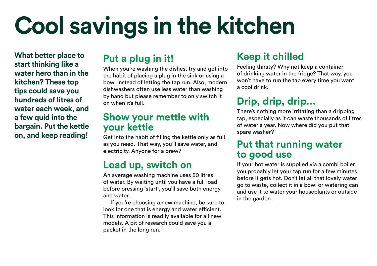# **Cool savings in the kitchen**

**What better place to start thinking like a water hero than in the kitchen? These top tips could save you hundreds of litres of water each week, and a few quid into the bargain. Put the kettle on, and keep reading!** 

### **Put a plug in it!**

When you're washing the dishes, try and get into the habit of placing a plug in the sink or using a bowl instead of letting the tap run. Also, modern dishwashers often use less water than washing by hand but please remember to only switch it on when it's full.

#### **Show your mettle with your kettle**

Get into the habit of filling the kettle only as full as you need. That way, you'll save water, and electricity. Anyone for a brew?

### **Load up, switch on**

An average washing machine uses 50 litres of water. By waiting until you have a full load before pressing 'start', you'll save both energy and water.

If you're choosing a new machine, be sure to look for one that is energy and water efficient. This information is readily available for all new models. A bit of research could save you a packet in the long run.

### **Keep it chilled**

Feeling thirsty? Why not keep a container of drinking water in the fridge? That way, you won't have to run the tap every time you want a cool drink.

### **Drip, drip, drip...**

There's nothing more irritating than a dripping tap, especially as it can waste thousands of litres of water a year. Now where did you put that spare washer?

#### **Put that running water to good use**

If your hot water is supplied via a combi boiler you probably let your tap run for a few minutes before it gets hot. Don't let all that lovely water go to waste, collect it in a bowl or watering can and use it to water your houseplants or outside in the garden.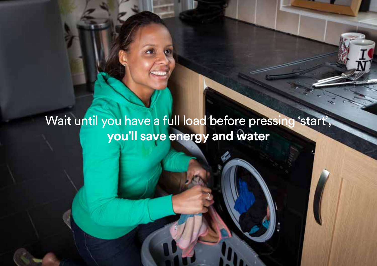# Wait until you have a full load before pressing 'start', **you'll save energy and water**

I

I

I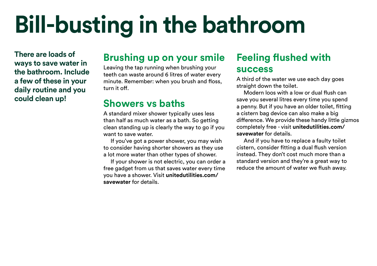# **Bill-busting in the bathroom**

**There are loads of ways to save water in the bathroom. Include a few of these in your daily routine and you could clean up!** 

#### **Brushing up on your smile**

Leaving the tap running when brushing your teeth can waste around 6 litres of water every minute. Remember: when you brush and floss, turn it off.

#### **Showers vs baths**

A standard mixer shower typically uses less than half as much water as a bath. So getting clean standing up is clearly the way to go if you want to save water.

If you've got a power shower, you may wish to consider having shorter showers as they use a lot more water than other types of shower.

If your shower is not electric, you can order a free gadget from us that saves water every time you have a shower. Visit **[unitedutilities.com](https://unitedutilities.com/savewater)/ [savewater](https://unitedutilities.com/savewater)** for details.

### **Feeling flushed with success**

A third of the water we use each day goes straight down the toilet.

Modern loos with a low or dual flush can save you several litres every time you spend a penny. But if you have an older toilet, fitting a cistern bag device can also make a big difference. We provide these handy little gizmos completely free - visit **[unitedutilities.com](https://unitedutilities.com/savewater)/ [savewater](https://unitedutilities.com/savewater)** for details.

And if you have to replace a faulty toilet cistern, consider fitting a dual flush version instead. They don't cost much more than a standard version and they're a great way to reduce the amount of water we flush away.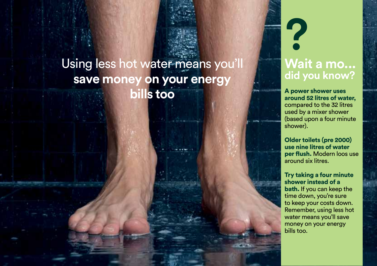## Using less hot water means you'll **save money on your energy bills too**

# **? Wait a mo... did you know?**

A power shower uses around 52 litres of water, compared to the 32 litres used by a mixer shower (based upon a four minute shower).

Older toilets (pre 2000) use nine litres of water per flush. Modern loos use around six litres.

Try taking a four minute shower instead of a bath. If you can keep the time down, you're sure to keep your costs down. Remember, using less hot water means you'll save money on your energy bills too.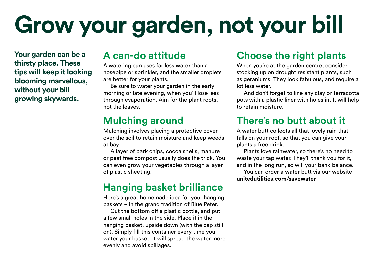# **Grow your garden, not your bill**

**Your garden can be a thirsty place. These tips will keep it looking blooming marvellous, without your bill growing skywards.** 

#### **A can-do attitude**

A watering can uses far less water than a hosepipe or sprinkler, and the smaller droplets are better for your plants.

Be sure to water your garden in the early morning or late evening, when you'll lose less through evaporation. Aim for the plant roots, not the leaves.

### **Mulching around**

Mulching involves placing a protective cover over the soil to retain moisture and keep weeds at bay.

A layer of bark chips, cocoa shells, manure or peat free compost usually does the trick. You can even grow your vegetables through a layer of plastic sheeting.

### **Hanging basket brilliance**

Here's a great homemade idea for your hanging baskets – in the grand tradition of Blue Peter.

Cut the bottom off a plastic bottle, and put a few small holes in the side. Place it in the hanging basket, upside down (with the cap still on). Simply fill this container every time you water your basket. It will spread the water more evenly and avoid spillages.

### **Choose the right plants**

When you're at the garden centre, consider stocking up on drought resistant plants, such as geraniums. They look fabulous, and require a lot less water.

And don't forget to line any clay or terracotta pots with a plastic liner with holes in. It will help to retain moisture.

### **There's no butt about it**

A water butt collects all that lovely rain that falls on your roof, so that you can give your plants a free drink.

Plants love rainwater, so there's no need to waste your tap water. They'll thank you for it, and in the long run, so will your bank balance.

You can order a water butt via our website **[unitedutilities.com/savewater](https://unitedutilities.com/savewater)**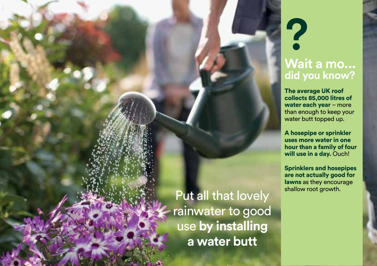# **Wait a mo... did you know?**

**?** 

The average UK roof collects 85,000 litres of water each year – more than enough to keep your water butt topped up.

A hosepipe or sprinkler uses more water in one hour than a family of four will use in a day. Ouch!

Sprinklers and hosepipes are not actually good for lawns as they encourage shallow root growth.

Put all that lovely rainwater to good use **by installing a water butt**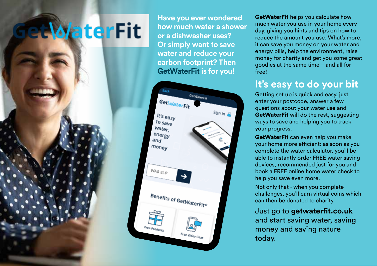# **ate fit**

**Have you ever wondered how much water a shower or a dishwasher uses? Or simply want to save water and reduce your carbon footprint? Then GetWaterFit is for you!** 



GetWaterFit helps you calculate how much water you use in your home every day, giving you hints and tips on how to reduce the amount you use. What's more, it can save you money on your water and energy bills, help the environment, raise money for charity and get you some great goodies at the same time – and all for free!

### **It's easy to do your bit**

Getting set up is quick and easy, just enter your postcode, answer a few questions about your water use and GetWaterFit will do the rest, suggesting ways to save and helping you to track your progress.

GetWaterFit can even help you make your home more efficient: as soon as you complete the water calculator, you'll be able to instantly order FREE water saving devices, recommended just for you and book a FREE online home water check to help you save even more.

Not only that - when you complete challenges, you'll earn virtual coins which can then be donated to charity.

Just go to **[getwaterfit.co.uk](https://getwaterfit.co.uk)** and start saving water, saving money and saving nature today.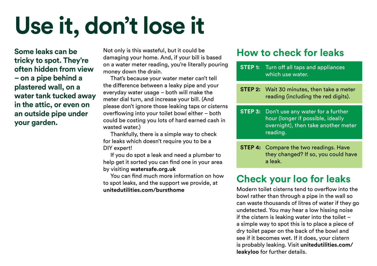# **Use it, don't lose it**

**Some leaks can be tricky to spot. They're often hidden from view – on a pipe behind a plastered wall, on a water tank tucked away in the attic, or even on an outside pipe under your garden.** 

Not only is this wasteful, but it could be damaging your home. And, if your bill is based on a water meter reading, you're literally pouring money down the drain.

That's because your water meter can't tell the difference between a leaky pipe and your everyday water usage – both will make the meter dial turn, and increase your bill. (And please don't ignore those leaking taps or cisterns overflowing into your toilet bowl either – both could be costing you lots of hard earned cash in wasted water.)

Thankfully, there is a simple way to check for leaks which doesn't require you to be a DIY expert!

If you do spot a leak and need a plumber to help get it sorted you can find one in your area by visiting **watersafe.org.uk** 

You can find much more information on how to spot leaks, and the support we provide, at **[unitedutilities.com/bursthome](https://unitedutilities.com/bursthome)** 

#### **How to check for leaks**

- **STEP 1:** Turn off all taps and appliances which use water.
- **STEP 2:** Wait 30 minutes, then take a meter reading (including the red digits).
- **STEP 3:** Don't use any water for a further hour (longer if possible, ideally overnight), then take another meter reading.
- **STEP 4:** Compare the two readings. Have they changed? If so, you could have a leak.

### **Check your loo for leaks**

Modern toilet cisterns tend to overflow into the bowl rather than through a pipe in the wall so can waste thousands of litres of water if they go undetected. You may hear a low hissing noise if the cistern is leaking water into the toilet – a simple way to spot this is to place a piece of dry toilet paper on the back of the bowl and see if it becomes wet. If it does, your cistern is probably leaking. Visit **[unitedutilities.com](https://unitedutilities.com/leakyloo)/ [leakyloo](https://unitedutilities.com/leakyloo)** for further details.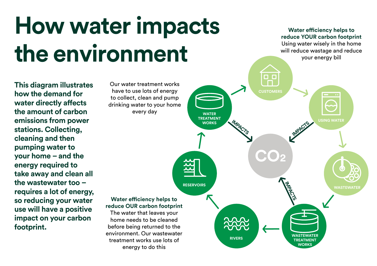# **How water impacts** Water efficiency helps to the environment **the fight**

**This diagram illustrates** Our water treatment works<br> **According the displaced form** have to use lots of energy **have to use lots of energy<br>
<b>how the demand for** demand to the collect, clean and pump<br> **water directly affects** drinking water to your home **the amount of carbon** every day **emissions from power stations. Collecting, cleaning and then pumping water to your home – and the energy required to take away and clean all the wastewater too – requires a lot of energy, so reducing your water Water efficiency helps to reduce OUR carbon footprint use will have a positive The water that leaves your impact on your carbon** home needs to be cleaned **footprint. before being returned to the** 

energy to do this

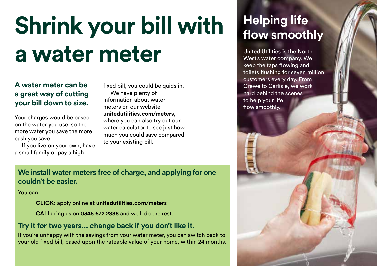# **Shrink your bill with Helping life** a water meter **wests water company.** We also the North

# **A water meter can be** fixed bill, you could be quids in. Crewe to Carlisle, we work

a small family or pay a high

**a great way of cutting** We have plenty of **and the secure of the scenes** hard behind the scenes **and the scenes** information about water the scenes to help your life **your bill down to size.** Information about water the state of the smoothly.<br> **how smoothly.** The meters on our website flow smoothly. Your charges would be based<br>on the water you use, so the<br>more water you save the more<br>cash you save.<br>If you live on your own, have the your existing bill.

#### **We install water meters free of charge, and applying for one couldn't be easier.**

You can:

**CLICK:** apply online at **[unitedutilities.com/meters](https://unitedutilities.com/meters)** 

**CALL:** ring us on **0345 672 2888** and we'll do the rest.

#### **Try it for two years... change back if you don't like it.**

If you're unhappy with the savings from your water meter, you can switch back to your old fixed bill, based upon the rateable value of your home, within 24 months.

West s water company. We keep the taps flowing and toilets flushing for seven million customers every day. From